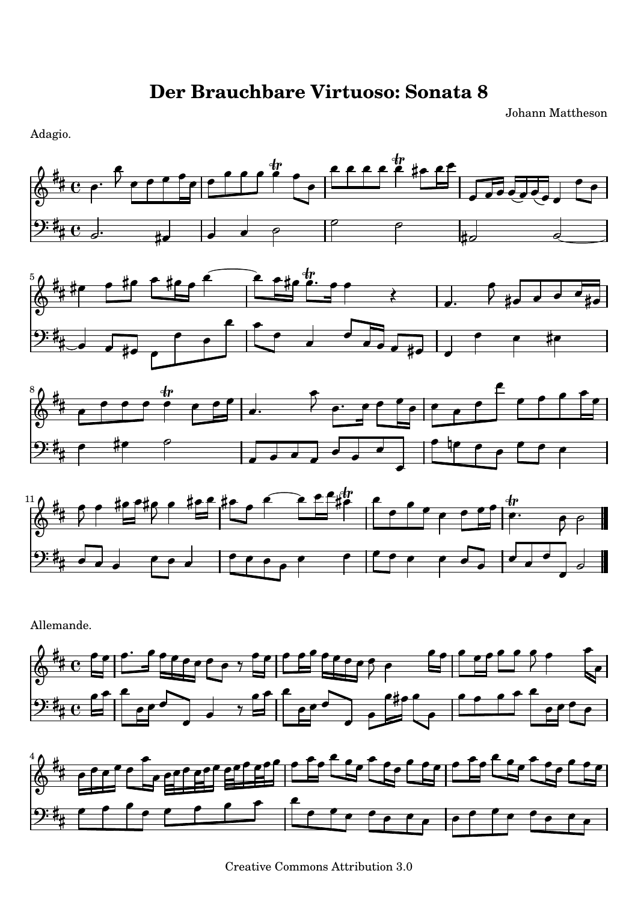Johann Mattheson

Adagio.





Creative Commons Attribution 3.0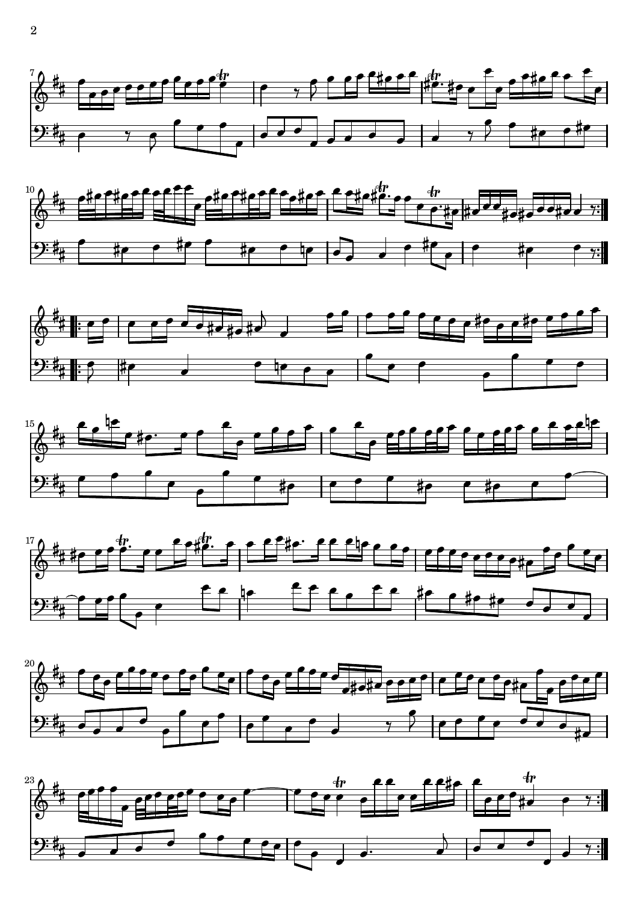











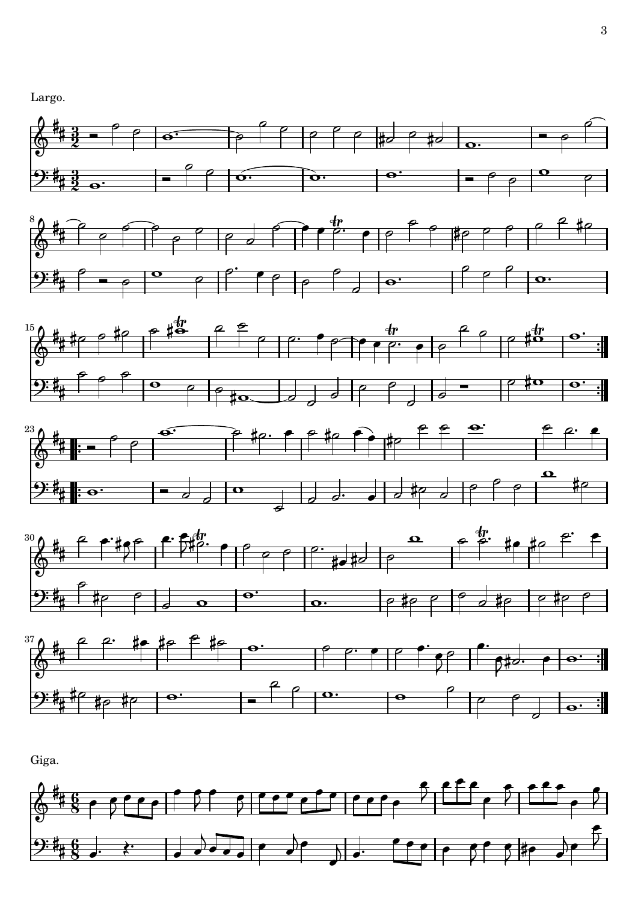Largo.



Giga.